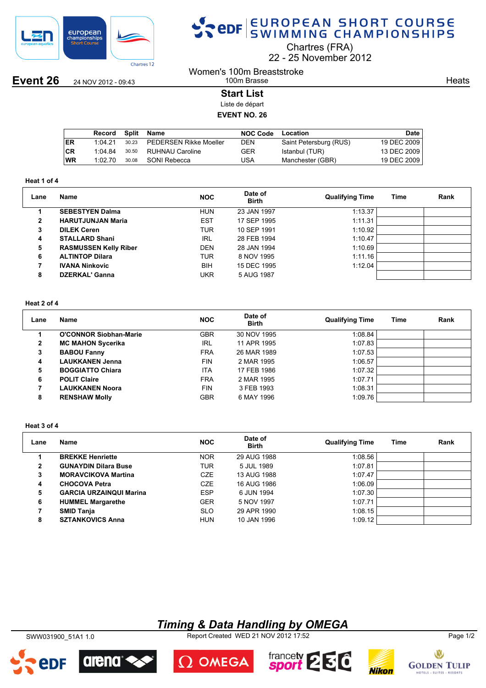

# SPOR EUROPEAN SHORT COURSE

Chartres (FRA)

22 25 November 2012

Women's 100m Breaststroke 100m Brasse

**Heats** 

**Event 26** 24 NOV 2012 - 09:43

### **Start List**

Liste de départ **EVENT NO. 26**

#### **Record Split Name NOC Code Location Date ER** 1:04.21 30.23 PEDERSEN Rikke Moeller DEN Saint Petersburg (RUS) 19 DEC 2009 **CR** 1:04.84 30.50 RUHNAU Caroline GER Istanbul (TUR) 13 DEC 2009 **WR** 1:02.70 30.08 SONI Rebecca USA Manchester (GBR) 19 DEC 2009

#### **Heat 1 of 4**

| Lane           | Name                         | <b>NOC</b> | Date of<br><b>Birth</b> | <b>Qualifying Time</b> | Time | Rank |
|----------------|------------------------------|------------|-------------------------|------------------------|------|------|
|                | <b>SEBESTYEN Dalma</b>       | <b>HUN</b> | 23 JAN 1997             | 1:13.37                |      |      |
| $\overline{2}$ | <b>HARUTJUNJAN Maria</b>     | <b>EST</b> | 17 SEP 1995             | 1:11.31                |      |      |
| 3              | <b>DILEK Ceren</b>           | <b>TUR</b> | 10 SEP 1991             | 1:10.92                |      |      |
| 4              | <b>STALLARD Shani</b>        | <b>IRL</b> | 28 FEB 1994             | 1:10.47                |      |      |
| 5              | <b>RASMUSSEN Kelly Riber</b> | <b>DEN</b> | 28 JAN 1994             | 1:10.69                |      |      |
| 6              | <b>ALTINTOP Dilara</b>       | <b>TUR</b> | 8 NOV 1995              | 1:11.16                |      |      |
|                | <b>IVANA Ninkovic</b>        | <b>BIH</b> | 15 DEC 1995             | 1:12.04                |      |      |
| 8              | <b>DZERKAL' Ganna</b>        | UKR        | 5 AUG 1987              |                        |      |      |

#### **Heat 2 of 4**

| Lane         | Name                          | <b>NOC</b> | Date of<br><b>Birth</b> | <b>Qualifying Time</b> | Time | Rank |
|--------------|-------------------------------|------------|-------------------------|------------------------|------|------|
|              | <b>O'CONNOR Siobhan-Marie</b> | <b>GBR</b> | 30 NOV 1995             | 1:08.84                |      |      |
| $\mathbf{2}$ | <b>MC MAHON Sycerika</b>      | <b>IRL</b> | 11 APR 1995             | 1:07.83                |      |      |
| 3            | <b>BABOU Fanny</b>            | <b>FRA</b> | 26 MAR 1989             | 1:07.53                |      |      |
| 4            | <b>LAUKKANEN Jenna</b>        | <b>FIN</b> | 2 MAR 1995              | 1:06.57                |      |      |
| 5            | <b>BOGGIATTO Chiara</b>       | <b>ITA</b> | 17 FEB 1986             | 1:07.32                |      |      |
| 6            | <b>POLIT Claire</b>           | <b>FRA</b> | 2 MAR 1995              | 1:07.71                |      |      |
|              | <b>LAUKKANEN Noora</b>        | <b>FIN</b> | 3 FEB 1993              | 1:08.31                |      |      |
| 8            | <b>RENSHAW Molly</b>          | <b>GBR</b> | 6 MAY 1996              | 1:09.76                |      |      |

#### **Heat 3 of 4**

| Lane         | <b>Name</b>                    | <b>NOC</b> | Date of<br><b>Birth</b> | <b>Qualifying Time</b> | Time | Rank |
|--------------|--------------------------------|------------|-------------------------|------------------------|------|------|
|              | <b>BREKKE Henriette</b>        | <b>NOR</b> | 29 AUG 1988             | 1:08.56                |      |      |
| $\mathbf{2}$ | <b>GUNAYDIN Dilara Buse</b>    | TUR        | 5 JUL 1989              | 1:07.81                |      |      |
| 3            | <b>MORAVCIKOVA Martina</b>     | CZE        | 13 AUG 1988             | 1:07.47                |      |      |
| 4            | <b>CHOCOVA Petra</b>           | <b>CZE</b> | 16 AUG 1986             | 1:06.09                |      |      |
| 5            | <b>GARCIA URZAINQUI Marina</b> | <b>ESP</b> | 6 JUN 1994              | 1:07.30                |      |      |
| 6            | <b>HUMMEL Margarethe</b>       | <b>GER</b> | 5 NOV 1997              | 1:07.71                |      |      |
|              | <b>SMID Tanja</b>              | <b>SLO</b> | 29 APR 1990             | 1:08.15                |      |      |
| 8            | <b>SZTANKOVICS Anna</b>        | <b>HUN</b> | 10 JAN 1996             | 1:09.12                |      |      |

### *Timing & Data Handling by OMEGA*

SWW031900 51A1 1.0 Report Created WED 21 NOV 2012 17:52 Page 1/2